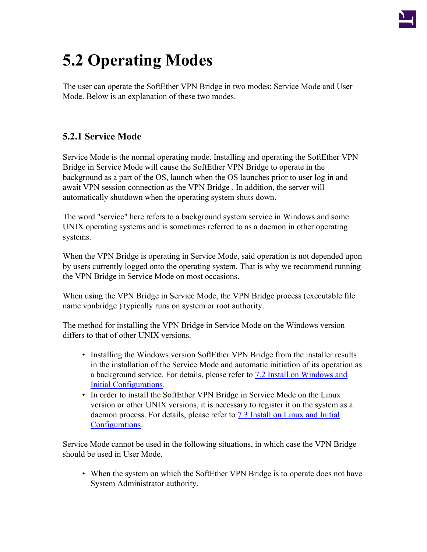

# **5.2 Operating Modes**

The user can operate the SoftEther VPN Bridge in two modes: Service Mode and User Mode. Below is an explanation of these two modes.

## **5.2.1 Service Mode**

Service Mode is the normal operating mode. Installing and operating the SoftEther VPN Bridge in Service Mode will cause the SoftEther VPN Bridge to operate in the background as a part of the OS, launch when the OS launches prior to user log in and await VPN session connection as the VPN Bridge . In addition, the server will automatically shutdown when the operating system shuts down.

The word "service" here refers to a background system service in Windows and some UNIX operating systems and is sometimes referred to as a daemon in other operating systems.

When the VPN Bridge is operating in Service Mode, said operation is not depended upon by users currently logged onto the operating system. That is why we recommend running the VPN Bridge in Service Mode on most occasions.

When using the VPN Bridge in Service Mode, the VPN Bridge process (executable file name vpnbridge ) typically runs on system or root authority.

The method for installing the VPN Bridge in Service Mode on the Windows version differs to that of other UNIX versions.

- Installing the Windows version SoftEther VPN Bridge from the installer results in the installation of the Service Mode and automatic initiation of its operation as a background service. For details, please refer to [7.2 Install on Windows and](http://www.softether.org/4-docs/1-manual/7._Installing_SoftEther_VPN_Server/7.2_Install_on_Windows_and_Initial_Configurations) [Initial Configurations.](http://www.softether.org/4-docs/1-manual/7._Installing_SoftEther_VPN_Server/7.2_Install_on_Windows_and_Initial_Configurations)
- In order to install the SoftEther VPN Bridge in Service Mode on the Linux version or other UNIX versions, it is necessary to register it on the system as a daemon process. For details, please refer to [7.3 Install on Linux and Initial](http://www.softether.org/4-docs/1-manual/7._Installing_SoftEther_VPN_Server/7.3_Install_on_Linux_and_Initial_Configurations) [Configurations.](http://www.softether.org/4-docs/1-manual/7._Installing_SoftEther_VPN_Server/7.3_Install_on_Linux_and_Initial_Configurations)

Service Mode cannot be used in the following situations, in which case the VPN Bridge should be used in User Mode.

• When the system on which the SoftEther VPN Bridge is to operate does not have System Administrator authority.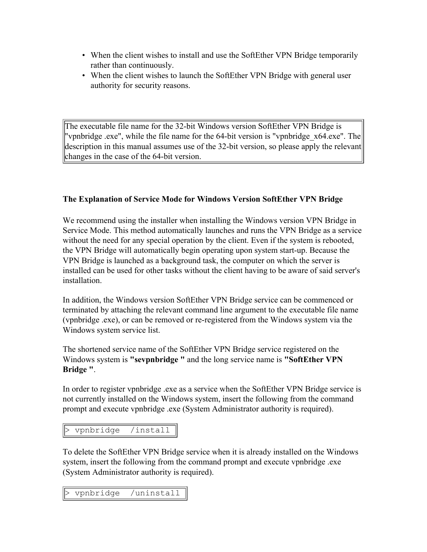- When the client wishes to install and use the SoftEther VPN Bridge temporarily rather than continuously.
- When the client wishes to launch the SoftEther VPN Bridge with general user authority for security reasons.

The executable file name for the 32-bit Windows version SoftEther VPN Bridge is "vpnbridge .exe", while the file name for the 64-bit version is "vpnbridge x64.exe". The description in this manual assumes use of the 32-bit version, so please apply the relevant changes in the case of the 64-bit version.

#### **The Explanation of Service Mode for Windows Version SoftEther VPN Bridge**

We recommend using the installer when installing the Windows version VPN Bridge in Service Mode. This method automatically launches and runs the VPN Bridge as a service without the need for any special operation by the client. Even if the system is rebooted, the VPN Bridge will automatically begin operating upon system start-up. Because the VPN Bridge is launched as a background task, the computer on which the server is installed can be used for other tasks without the client having to be aware of said server's installation.

In addition, the Windows version SoftEther VPN Bridge service can be commenced or terminated by attaching the relevant command line argument to the executable file name (vpnbridge .exe), or can be removed or re-registered from the Windows system via the Windows system service list.

The shortened service name of the SoftEther VPN Bridge service registered on the Windows system is **"sevpnbridge "** and the long service name is **"SoftEther VPN Bridge "**.

In order to register vpnbridge .exe as a service when the SoftEther VPN Bridge service is not currently installed on the Windows system, insert the following from the command prompt and execute vpnbridge .exe (System Administrator authority is required).

```
> vpnbridge /install
```
To delete the SoftEther VPN Bridge service when it is already installed on the Windows system, insert the following from the command prompt and execute vpnbridge .exe (System Administrator authority is required).

vpnbridge /uninstall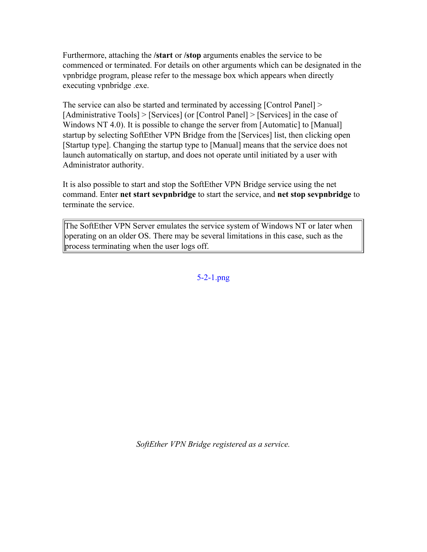Furthermore, attaching the **/start** or **/stop** arguments enables the service to be commenced or terminated. For details on other arguments which can be designated in the vpnbridge program, please refer to the message box which appears when directly executing vpnbridge .exe.

The service can also be started and terminated by accessing [Control Panel] > [Administrative Tools] > [Services] (or [Control Panel] > [Services] in the case of Windows NT 4.0). It is possible to change the server from [Automatic] to [Manual] startup by selecting SoftEther VPN Bridge from the [Services] list, then clicking open [Startup type]. Changing the startup type to [Manual] means that the service does not launch automatically on startup, and does not operate until initiated by a user with Administrator authority.

It is also possible to start and stop the SoftEther VPN Bridge service using the net command. Enter **net start sevpnbridge** to start the service, and **net stop sevpnbridge** to terminate the service.

The SoftEther VPN Server emulates the service system of Windows NT or later when operating on an older OS. There may be several limitations in this case, such as the process terminating when the user logs off.

[5-2-1.png](http://www.softether.org/@api/deki/files/286/=5-2-1.png)

*SoftEther VPN Bridge registered as a service.*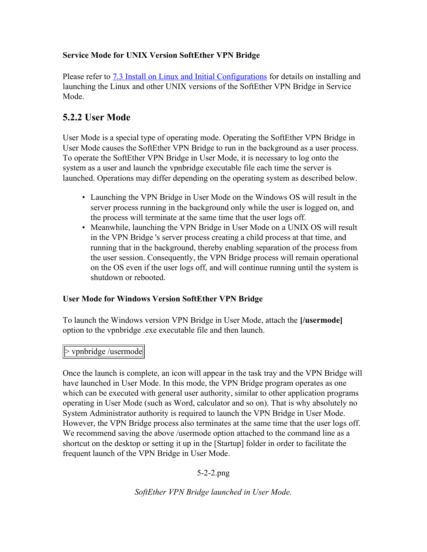## **Service Mode for UNIX Version SoftEther VPN Bridge**

Please refer to **[7.3 Install on Linux and Initial Configurations](http://www.softether.org/4-docs/1-manual/7._Installing_SoftEther_VPN_Server/7.3_Install_on_Linux_and_Initial_Configurations)** for details on installing and launching the Linux and other UNIX versions of the SoftEther VPN Bridge in Service Mode.

## **5.2.2 User Mode**

User Mode is a special type of operating mode. Operating the SoftEther VPN Bridge in User Mode causes the SoftEther VPN Bridge to run in the background as a user process. To operate the SoftEther VPN Bridge in User Mode, it is necessary to log onto the system as a user and launch the vpnbridge executable file each time the server is launched. Operations may differ depending on the operating system as described below.

- Launching the VPN Bridge in User Mode on the Windows OS will result in the server process running in the background only while the user is logged on, and the process will terminate at the same time that the user logs off.
- Meanwhile, launching the VPN Bridge in User Mode on a UNIX OS will result in the VPN Bridge 's server process creating a child process at that time, and running that in the background, thereby enabling separation of the process from the user session. Consequently, the VPN Bridge process will remain operational on the OS even if the user logs off, and will continue running until the system is shutdown or rebooted.

## **User Mode for Windows Version SoftEther VPN Bridge**

To launch the Windows version VPN Bridge in User Mode, attach the **[/usermode]** option to the vpnbridge .exe executable file and then launch.

#### $\triangleright$  vpnbridge /usermode

Once the launch is complete, an icon will appear in the task tray and the VPN Bridge will have launched in User Mode. In this mode, the VPN Bridge program operates as one which can be executed with general user authority, similar to other application programs operating in User Mode (such as Word, calculator and so on). That is why absolutely no System Administrator authority is required to launch the VPN Bridge in User Mode. However, the VPN Bridge process also terminates at the same time that the user logs off. We recommend saving the above /usermode option attached to the command line as a shortcut on the desktop or setting it up in the [Startup] folder in order to facilitate the frequent launch of the VPN Bridge in User Mode.

## 5-2-2.png

*SoftEther VPN Bridge launched in User Mode.*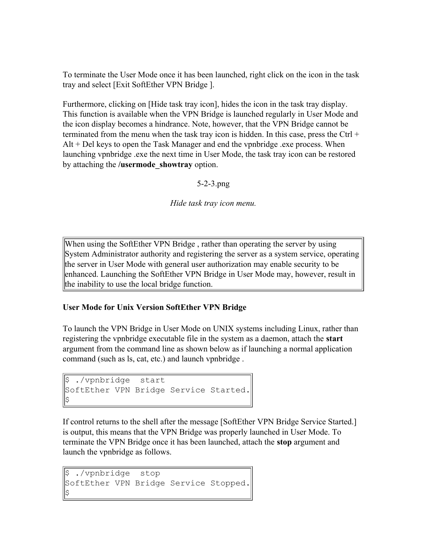To terminate the User Mode once it has been launched, right click on the icon in the task tray and select [Exit SoftEther VPN Bridge ].

Furthermore, clicking on [Hide task tray icon], hides the icon in the task tray display. This function is available when the VPN Bridge is launched regularly in User Mode and the icon display becomes a hindrance. Note, however, that the VPN Bridge cannot be terminated from the menu when the task tray icon is hidden. In this case, press the Ctrl  $+$  $Alt + Del$  keys to open the Task Manager and end the vpnbridge .exe process. When launching vpnbridge .exe the next time in User Mode, the task tray icon can be restored by attaching the **/usermode\_showtray** option.

5-2-3.png

*Hide task tray icon menu.*

When using the SoftEther VPN Bridge , rather than operating the server by using System Administrator authority and registering the server as a system service, operating the server in User Mode with general user authorization may enable security to be enhanced. Launching the SoftEther VPN Bridge in User Mode may, however, result in the inability to use the local bridge function.

## **User Mode for Unix Version SoftEther VPN Bridge**

To launch the VPN Bridge in User Mode on UNIX systems including Linux, rather than registering the vpnbridge executable file in the system as a daemon, attach the **start** argument from the command line as shown below as if launching a normal application command (such as ls, cat, etc.) and launch vpnbridge .

```
\frac{1}{2} ./vpnbridge start
SoftEther VPN Bridge Service Started.
$
```
If control returns to the shell after the message [SoftEther VPN Bridge Service Started.] is output, this means that the VPN Bridge was properly launched in User Mode. To terminate the VPN Bridge once it has been launched, attach the **stop** argument and launch the vpnbridge as follows.

```
$ ./vpnbridge stop
SoftEther VPN Bridge Service Stopped.
$
```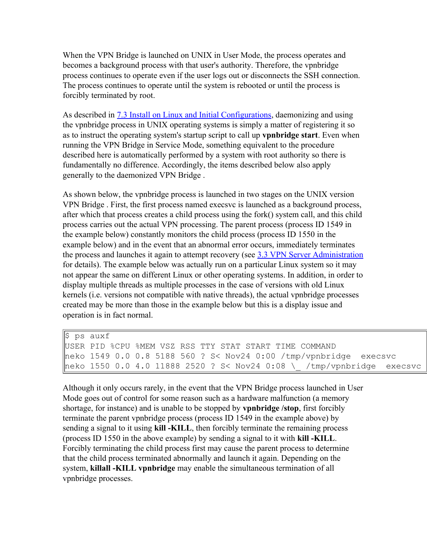When the VPN Bridge is launched on UNIX in User Mode, the process operates and becomes a background process with that user's authority. Therefore, the vpnbridge process continues to operate even if the user logs out or disconnects the SSH connection. The process continues to operate until the system is rebooted or until the process is forcibly terminated by root.

As described in [7.3 Install on Linux and Initial Configurations](http://www.softether.org/4-docs/1-manual/7._Installing_SoftEther_VPN_Server/7.3_Install_on_Linux_and_Initial_Configurations), daemonizing and using the vpnbridge process in UNIX operating systems is simply a matter of registering it so as to instruct the operating system's startup script to call up **vpnbridge start**. Even when running the VPN Bridge in Service Mode, something equivalent to the procedure described here is automatically performed by a system with root authority so there is fundamentally no difference. Accordingly, the items described below also apply generally to the daemonized VPN Bridge .

As shown below, the vpnbridge process is launched in two stages on the UNIX version VPN Bridge . First, the first process named execsvc is launched as a background process, after which that process creates a child process using the fork() system call, and this child process carries out the actual VPN processing. The parent process (process ID 1549 in the example below) constantly monitors the child process (process ID 1550 in the example below) and in the event that an abnormal error occurs, immediately terminates the process and launches it again to attempt recovery (see [3.3 VPN Server Administration](http://www.softether.org/4-docs/1-manual/3._SoftEther_VPN_Server_Manual/3.3_VPN_Server_Administration) for details). The example below was actually run on a particular Linux system so it may not appear the same on different Linux or other operating systems. In addition, in order to display multiple threads as multiple processes in the case of versions with old Linux kernels (i.e. versions not compatible with native threads), the actual vpnbridge processes created may be more than those in the example below but this is a display issue and operation is in fact normal.

| ∥\$ ps auxf                                                                                |
|--------------------------------------------------------------------------------------------|
| USER PID %CPU %MEM VSZ RSS TTY STAT START TIME COMMAND                                     |
| $\parallel$ neko 1549 0.0 0.8 5188 560 ? S< Nov24 0:00 /tmp/vpnbridge execsvc              |
| neko 1550 0.0 4.0 11888 2520 ? S< Nov24 0:08 \                      /tmp/vpnbridge execsvc |

Although it only occurs rarely, in the event that the VPN Bridge process launched in User Mode goes out of control for some reason such as a hardware malfunction (a memory shortage, for instance) and is unable to be stopped by **vpnbridge /stop**, first forcibly terminate the parent vpnbridge process (process ID 1549 in the example above) by sending a signal to it using **kill -KILL**, then forcibly terminate the remaining process (process ID 1550 in the above example) by sending a signal to it with **kill -KILL**. Forcibly terminating the child process first may cause the parent process to determine that the child process terminated abnormally and launch it again. Depending on the system, **killall -KILL vpnbridge** may enable the simultaneous termination of all vpnbridge processes.